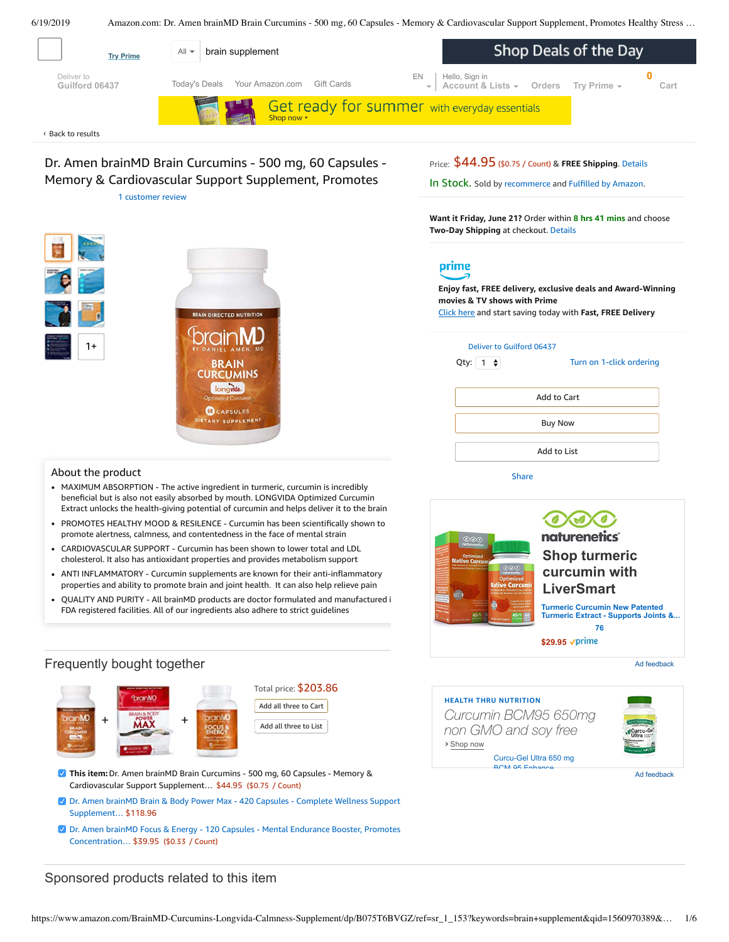6/19/2019 Amazon.com: Dr. Amen brainMD Brain Curcumins - 500 mg, 60 Capsules - Memory & Cardiovascular Support Supplement, Promotes Healthy Stress …

<span id="page-0-0"></span>

Dr. Amen brainMD Brain Curcumins - 500 mg, 60 Capsules - Memory & Cardiovascular Support Supplement, Promotes 1 [customer](#page-3-0) review

**N DIRECTED NUTRITION** 

**BRAIN CURCUMINS** longvida. **OCAPSULES IETARY SUPPLEMENT** 



**Want it Friday, June 21?** Order within **8 hrs 41 mins** and choose **Two-Day Shipping** at checkout. [Details](https://www.amazon.com/gp/help/customer/display.html/ref=ftinfo_dp_?ie=UTF8&nodeId=3510241&pop-up=1)



**Enjoy fast, FREE delivery, exclusive deals and Award-Winning movies & TV shows with Prime**

Click here and start saving today with **Fast, FREE Delivery**



[Share](mailto:?body=I%20want%20to%20recommend%20this%20product%20at%20Amazon.com%0A%0ADr.%20Amen%20brainMD%20Brain%20Curcumins%20-%20500%20mg%2C%2060%20Capsules%20-%20Memory%20%26%20Cardiovascular%20Support%20Supplement%2C%20Promotes%20Healthy%20Stress%20Response%2C%20Antioxidant%20-%20Gluten-Free%20-%2060%20Servings%0Aby%20recommerce%0ALearn%20more%3A%20https%3A%2F%2Fwww.amazon.com%2Fdp%2FB075T6BVGZ%2Fref%3Dcm_sw_em_r_mt_dp_U_XOOcDb4QESHDE&subject=I%20want%20to%20recommend%20this%20product%20on%20Amazon)

About the product

1+

- MAXIMUM ABSORPTION The active ingredient in turmeric, curcumin is incredibly beneficial but is also not easily absorbed by mouth. LONGVIDA Optimized Curcumin Extract unlocks the health-giving potential of curcumin and helps deliver it to the brain
- PROMOTES HEALTHY MOOD & RESILENCE Curcumin has been scientifically shown to promote alertness, calmness, and contentedness in the face of mental strain
- CARDIOVASCULAR SUPPORT Curcumin has been shown to lower total and LDL  $\bullet$ cholesterol. It also has antioxidant properties and provides metabolism support
- ANTI INFLAMMATORY Curcumin supplements are known for their anti-inflammatory properties and ability to promote brain and joint health. It can also help relieve pain
- QUALITY AND PURITY All brainMD products are doctor formulated and [manufactured](https://www.amazon.com/gp/redirect.html/ref=amb_link_1?_encoding=UTF8&location=https%3A%2F%2Fwww.amazon.com%2Fb%3Fnode%3D17904040011&source=standards&token=BE1FBDC111DBAC62750B07A4AFAFEF6D1A082253&pf_rd_m=ATVPDKIKX0DER&pf_rd_s=product-alert&pf_rd_r=41QPENSJHADEE51EZXZE&pf_rd_r=41QPENSJHADEE51EZXZE&pf_rd_t=201&pf_rd_p=82fa76b4-9a2f-4417-8a70-702f37d37a30&pf_rd_p=82fa76b4-9a2f-4417-8a70-702f37d37a30&pf_rd_i=B075T6BVGZ) i FDA registered facilities. All of our ingredients also adhere to strict guidelines

## Frequently bought together







- Dr. Amen brainMD Brain & Body Power Max 420 Capsules Complete Wellness Support [Supplement…](https://www.amazon.com/BrainMD-Health-Supplement-Combination-Cognition/dp/B00OFWFXQU/ref=pd_bxgy_121_2/143-6729050-3493109?_encoding=UTF8&pd_rd_i=B00OFWFXQU&pd_rd_r=d33b9d4a-92c6-11e9-8704-597ede040640&pd_rd_w=yneId&pd_rd_wg=AqhrM&pf_rd_p=a2006322-0bc0-4db9-a08e-d168c18ce6f0&pf_rd_r=41QPENSJHADEE51EZXZE&psc=1&refRID=41QPENSJHADEE51EZXZE) \$118.96
- Dr. Amen brainMD Focus & Energy 120 Capsules Mental Endurance Booster, Promotes [Concentration…](https://www.amazon.com/Dr-Amen-Focus-and-Energy/dp/B009ZX6L2O/ref=pd_bxgy_121_3/143-6729050-3493109?_encoding=UTF8&pd_rd_i=B009ZX6L2O&pd_rd_r=d33b9d4a-92c6-11e9-8704-597ede040640&pd_rd_w=yneId&pd_rd_wg=AqhrM&pf_rd_p=a2006322-0bc0-4db9-a08e-d168c18ce6f0&pf_rd_r=41QPENSJHADEE51EZXZE&psc=1&refRID=41QPENSJHADEE51EZXZE) \$39.95 (\$0.33 / Count)

# Sponsored products related to this item



Ad feedback

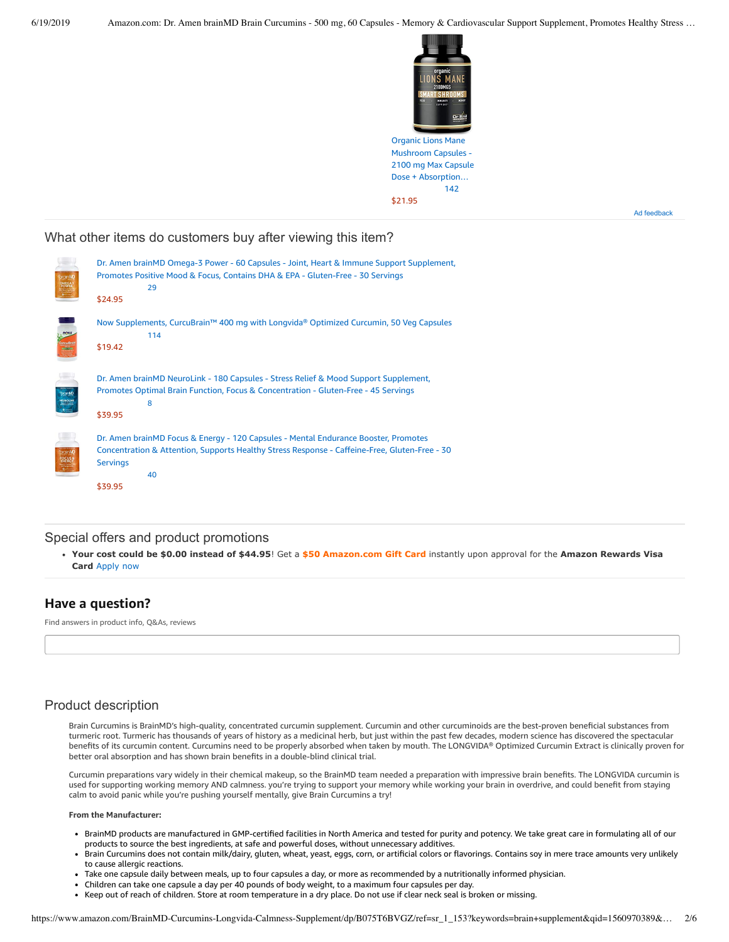

Mushroom Capsules - 2100 mg Max Capsule Dose + [Absorption…](https://www.amazon.com/gp/slredirect/picassoRedirect.html/ref=sspa_dk_detail_0?ie=UTF8&adId=A0385292K9V6U8UXS7RH&qualifier=1560971825&id=7781315281620493&widgetName=sp_detail&url=%2Fdp%2FB07Q5DZJTK%2Fref%3Dsspa_dk_detail_0%3Fpsc%3D1%26pd_rd_i%3DB07Q5DZJTK%26pd_rd_w%3DwnDAJ%26pf_rd_p%3D8a8f3917-7900-4ce8-ad90-adf0d53c0985%26pd_rd_wg%3DAqhrM%26pf_rd_r%3D41QPENSJHADEE51EZXZE%26pd_rd_r%3Dd33b9d4a-92c6-11e9-8704-597ede040640%26smid%3DA1TK860KZRN8XL) [142](https://www.amazon.com/gp/slredirect/picassoRedirect.html/ref=sspa_dk_detail_0?ie=UTF8&adId=A0385292K9V6U8UXS7RH&qualifier=1560971825&id=7781315281620493&widgetName=sp_detail&url=%2Fdp%2FB07Q5DZJTK%2Fref%3Dsspa_dk_detail_0%3Fpsc%3D1%26pd_rd_i%3DB07Q5DZJTK%26pd_rd_w%3DwnDAJ%26pf_rd_p%3D8a8f3917-7900-4ce8-ad90-adf0d53c0985%26pd_rd_wg%3DAqhrM%26pf_rd_r%3D41QPENSJHADEE51EZXZE%26pd_rd_r%3Dd33b9d4a-92c6-11e9-8704-597ede040640%26smid%3DA1TK860KZRN8XL#customerReviews) \$21.95

Ad feedback

### What other items do customers buy after viewing this item?

| MEG                               | Dr. Amen brainMD Omega-3 Power - 60 Capsules - Joint, Heart & Immune Support Supplement,<br>Promotes Positive Mood & Focus, Contains DHA & EPA - Gluten-Free - 30 Servings<br>29<br>\$24.95                              |
|-----------------------------------|--------------------------------------------------------------------------------------------------------------------------------------------------------------------------------------------------------------------------|
| nour<br>urcuBral<br><b>Second</b> | Now Supplements, CurcuBrain™ 400 mg with Longvida® Optimized Curcumin, 50 Veg Capsules<br>114<br>\$19.42                                                                                                                 |
| <b>branMD</b><br><b>KEUROLING</b> | Dr. Amen brainMD NeuroLink - 180 Capsules - Stress Relief & Mood Support Supplement,<br>Promotes Optimal Brain Function, Focus & Concentration - Gluten-Free - 45 Servings<br>8<br>\$39.95                               |
| brainM                            | Dr. Amen brainMD Focus & Energy - 120 Capsules - Mental Endurance Booster, Promotes<br>Concentration & Attention, Supports Healthy Stress Response - Caffeine-Free, Gluten-Free - 30<br><b>Servings</b><br>40<br>\$39.95 |

## Special offers and product promotions

**[Your cost could be \\$0.00 instead of \\$44.95](https://www.amazon.com/gp/cobrandcard/marketing.html?pr=con321&inc=50gcUnrec&ts=dhv55tvsxk3skku5od34ceclhm5pwk4&dasin=B075T6BVGZ&plattr=math&place=detailpage&imp=ea2735f8-3ed6-43da-97d4-5c35ac881fdf)**! Get a **\$50 Amazon.com Gift Card** instantly upon approval for the **Amazon Rewards Visa Card** Apply now

# **Have a question?**

Find answers in product info, Q&As, reviews

# Product description

Brain Curcumins is BrainMD's high-quality, concentrated curcumin supplement. Curcumin and other curcuminoids are the best-proven beneficial substances from turmeric root. Turmeric has thousands of years of history as a medicinal herb, but just within the past few decades, modern science has discovered the spectacular benefits of its curcumin content. Curcumins need to be properly absorbed when taken by mouth. The LONGVIDA® Optimized Curcumin Extract is clinically proven for better oral absorption and has shown brain benefits in a double-blind clinical trial.

Curcumin preparations vary widely in their chemical makeup, so the BrainMD team needed a preparation with impressive brain benefits. The LONGVIDA curcumin is used for supporting working memory AND calmness. you're trying to support your memory while working your brain in overdrive, and could benefit from staying calm to avoid panic while you're pushing yourself mentally, give Brain Curcumins a try!

#### **From the Manufacturer:**

- BrainMD products are manufactured in GMP-certified facilities in North America and tested for purity and potency. We take great care in formulating all of our products to source the best ingredients, at safe and powerful doses, without unnecessary additives.
- Brain Curcumins does not contain milk/dairy, gluten, wheat, yeast, eggs, corn, or artificial colors or flavorings. Contains soy in mere trace amounts very unlikely to cause allergic reactions.
- Take one capsule daily between meals, up to four capsules a day, or more as recommended by a nutritionally informed physician.
- Children can take one capsule a day per 40 pounds of body weight, to a maximum four capsules per day.
- Keep out of reach of children. Store at room temperature in a dry place. Do not use if clear neck seal is broken or missing.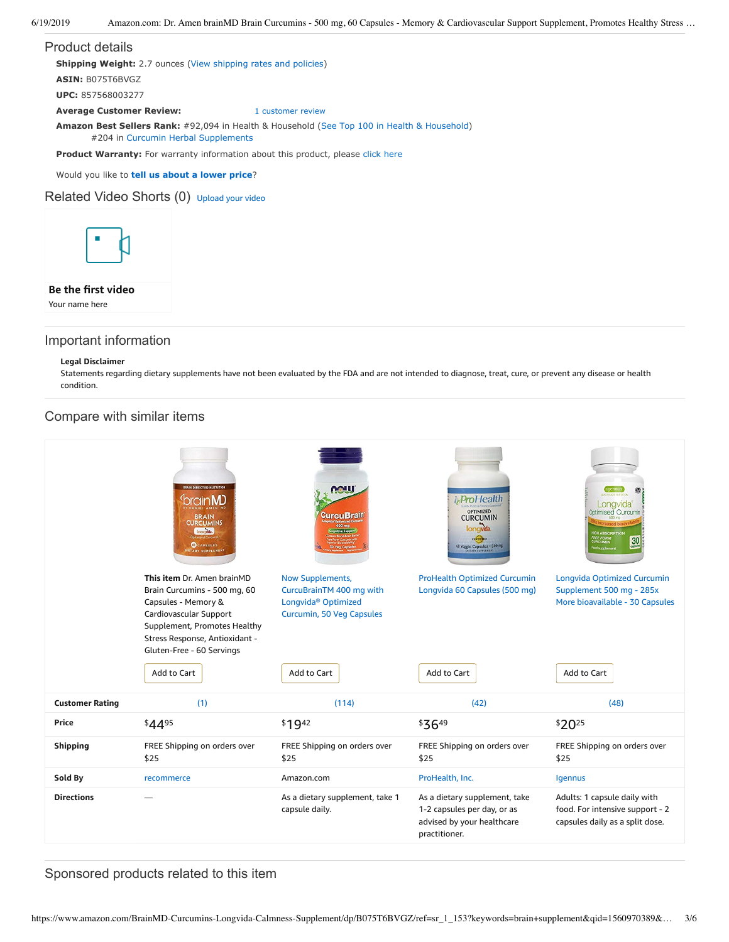# Product details **Shipping Weight:** 2.7 ounces [\(View shipping rates and policies\)](https://www.amazon.com/gp/help/seller/shipping.html/ref=dp_pd_shipping?ie=UTF8&asin=B075T6BVGZ&seller=ATVPDKIKX0DER) **ASIN:** B075T6BVGZ **UPC:** 857568003277 **Average Customer Review:** [1 customer review](https://www.amazon.com/product-reviews/B075T6BVGZ/ref=acr_dpproductdetail_text?ie=UTF8&showViewpoints=1) **Amazon Best Sellers Rank:** #92,094 in Health & Household ([See Top 100 in Health & Household\)](https://www.amazon.com/gp/bestsellers/hpc/ref=pd_zg_ts_hpc) #204 in [Curcumin Herbal Supplements](https://www.amazon.com/gp/bestsellers/hpc/6966319011/ref=pd_zg_hrsr_hpc) Product Warranty: For warranty information about this product, please [click here](https://www.amazon.com/gp/feature.html/ref=dp_warranty_request_3P?ie=UTF8&docId=1002406021)

Would you like to **tell us about a lower price**?

### Related Video Shorts (0) [Upload](https://www.amazon.com/creatorhub/video/upload?productASIN=B075T6BVGZ&referringURL=ZHAvQjA3NVQ2QlZHWg%3D%3D&ref=RVSW) your video



### **Be the first video**

Your name here

## Important information

#### **Legal Disclaimer**

Statements regarding dietary supplements have not been evaluated by the FDA and are not intended to diagnose, treat, cure, or prevent any disease or health condition.

## Compare with similar items

|                        | BRAIN DIRECTED NUTRITION<br>brain <b>M</b><br><b>BRAIN</b><br><b>CURCUMINS</b><br>longwa.<br><b>Optimized Curcumin</b><br><b>OCAPSULES</b><br><b>ETARY SUPPLEMENT</b>                                                     | <b>MALU</b><br><b>CurcuBrain</b><br>Veg C                                                                                   | <b>ProHealth</b><br><b>OPTIMIZED</b><br><b>CURCUMIN</b><br>longvida.<br>$G2$ $G2$<br>60 Veggie Capsules · 500 mg | Longvida<br>Optimised Curcumin<br><b>IGH ABSORPTION</b><br>FREE FORM<br>30 <sub>cm</sub><br>Food supplement      |
|------------------------|---------------------------------------------------------------------------------------------------------------------------------------------------------------------------------------------------------------------------|-----------------------------------------------------------------------------------------------------------------------------|------------------------------------------------------------------------------------------------------------------|------------------------------------------------------------------------------------------------------------------|
|                        | This item Dr. Amen brainMD<br>Brain Curcumins - 500 mg, 60<br>Capsules - Memory &<br>Cardiovascular Support<br>Supplement, Promotes Healthy<br>Stress Response, Antioxidant -<br>Gluten-Free - 60 Servings<br>Add to Cart | Now Supplements,<br>CurcuBrainTM 400 mg with<br>Longvida <sup>®</sup> Optimized<br>Curcumin, 50 Veg Capsules<br>Add to Cart | <b>ProHealth Optimized Curcumin</b><br>Longvida 60 Capsules (500 mg)<br>Add to Cart                              | <b>Longvida Optimized Curcumin</b><br>Supplement 500 mg - 285x<br>More bioavailable - 30 Capsules<br>Add to Cart |
| <b>Customer Rating</b> | (1)                                                                                                                                                                                                                       | (114)                                                                                                                       | (42)                                                                                                             | (48)                                                                                                             |
| Price                  | \$4495                                                                                                                                                                                                                    | \$1942                                                                                                                      | \$3649                                                                                                           | \$2025                                                                                                           |
| <b>Shipping</b>        | FREE Shipping on orders over<br>\$25                                                                                                                                                                                      | FREE Shipping on orders over<br>\$25                                                                                        | FREE Shipping on orders over<br>\$25                                                                             | FREE Shipping on orders over<br>\$25                                                                             |
| Sold By                | recommerce                                                                                                                                                                                                                | Amazon.com                                                                                                                  | ProHealth, Inc.                                                                                                  | Igennus                                                                                                          |
| <b>Directions</b>      |                                                                                                                                                                                                                           | As a dietary supplement, take 1<br>capsule daily.                                                                           | As a dietary supplement, take<br>1-2 capsules per day, or as<br>advised by your healthcare<br>practitioner.      | Adults: 1 capsule daily with<br>food. For intensive support - 2<br>capsules daily as a split dose.               |

Sponsored products related to this item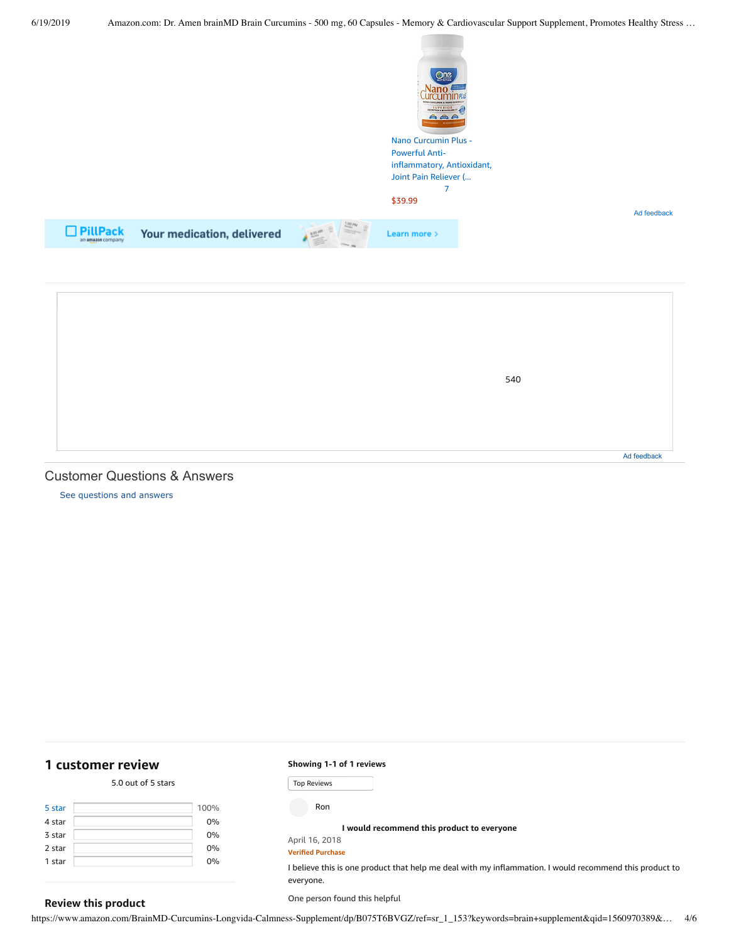

|  | 540 |             |
|--|-----|-------------|
|  |     |             |
|  |     | Ad feedback |

#### Customer Questions & Answers

[See questions and answers](https://www.amazon.com/ask/questions/asin/B075T6BVGZ/ref=cm_cd_dp_lla_ql_ll)

# <span id="page-3-0"></span>**[1 customer](https://www.amazon.com/Amen-brainMD-Brain-Curcumins-Cardiovascular/product-reviews/B075T6BVGZ/ref=cm_cr_dp_d_show_all_top?ie=UTF8&reviewerType=all_reviews) review**

**Review this product**

#### 5.0 out of 5 [stars](javascript:void(0))

| 5 star | 100% |
|--------|------|
| 4 star | 0%   |
| 3 star | 0%   |
| 2 star | 0%   |
| 1 star | 0%   |
|        |      |

#### **Showing 1-1 of 1 reviews**

Top Reviews Top ReviewsRon

**I would [recommend](https://www.amazon.com/gp/customer-reviews/R3SZC28B396AN4/ref=cm_cr_dp_d_rvw_ttl?ie=UTF8&ASIN=B075T6BVGZ) this product to everyone**

#### April 16, 2018 **Verified Purchase**

I believe this is one product that help me deal with my inflammation. I would recommend this product to everyone.

One person found this helpful

https://www.amazon.com/BrainMD-Curcumins-Longvida-Calmness-Supplement/dp/B075T6BVGZ/ref=sr\_1\_153?keywords=brain+supplement&qid=1560970389&… 4/6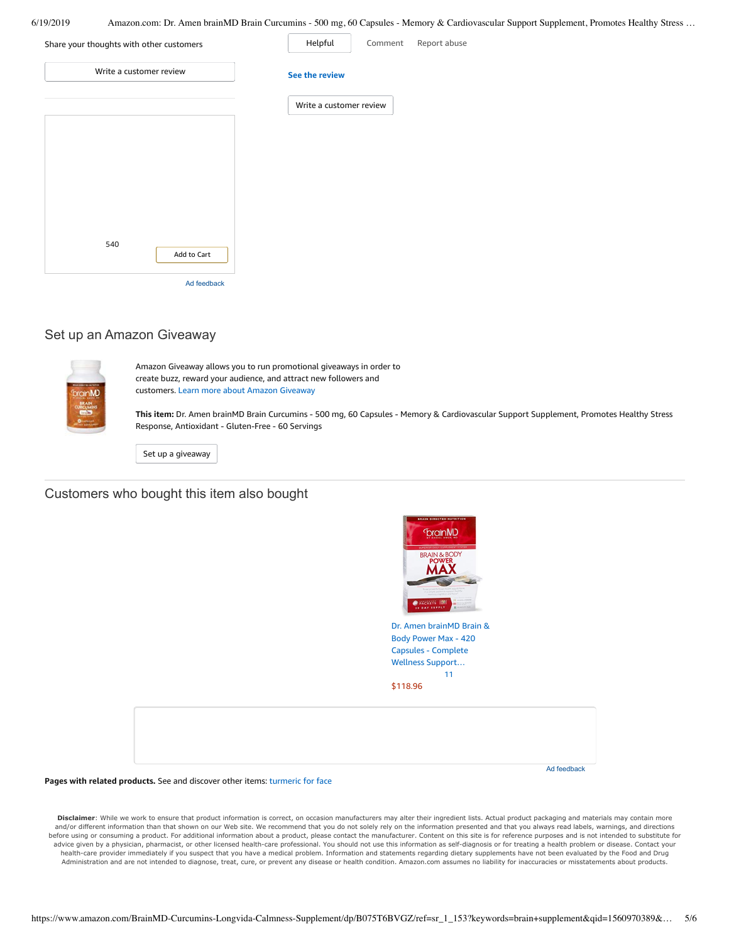6/19/2019 Amazon.com: Dr. Amen brainMD Brain Curcumins - 500 mg, 60 Capsules - Memory & Cardiovascular Support Supplement, Promotes Healthy Stress …

| Share your thoughts with other customers | Helpful<br>Report abuse<br>Comment |
|------------------------------------------|------------------------------------|
| Write a customer review                  | See the review                     |
|                                          | Write a customer review            |
|                                          |                                    |
|                                          |                                    |
|                                          |                                    |
|                                          |                                    |
| 540<br>Add to Cart                       |                                    |
| Ad feedback                              |                                    |

## Set up an Amazon Giveaway



Amazon Giveaway allows you to run promotional giveaways in order to create buzz, reward your audience, and attract new followers and customers. Learn more about Amazon [Giveaway](https://www.amazon.com/gp/giveaway/home?ref=aga_dp_lm) **This item:** Dr. Amen brainMD Brain Curcumins - 500 mg, 60 Capsules - Memory & Cardiovascular Support Supplement, Promotes Healthy Stress Response, Antioxidant - Gluten-Free - 60 Servings

Set up a [giveaway](https://www.amazon.com/giveaway/host/setup/ref=aga_h_su_dp?_encoding=UTF8&asin=B075T6BVGZ)

# Customers who bought this item also bought

| BRAIN DIRECTED NUTRITION<br><b>DrainMD</b><br>SUPERIOR DAILY SUPPLEMENT SYSTEM<br><b>BRAIN &amp; BODY</b><br><b>POWER</b><br>hope powerful bran health suppl<br>in a simple packet to napport finality<br>memory, cognition and facus*<br><b>O</b> PACKETS<br><b>BOA</b><br><b>III</b> HANANGO<br>30 DAY SUPPLY<br><b>HARRYSON</b><br>Dr. Amen brainMD Brain &<br>Body Power Max - 420<br>Capsules - Complete<br>Wellness Support<br>11<br>\$118.96 |             |
|-----------------------------------------------------------------------------------------------------------------------------------------------------------------------------------------------------------------------------------------------------------------------------------------------------------------------------------------------------------------------------------------------------------------------------------------------------|-------------|
|                                                                                                                                                                                                                                                                                                                                                                                                                                                     |             |
|                                                                                                                                                                                                                                                                                                                                                                                                                                                     | Ad feedback |

#### **Pages with related products.** See and discover other items: [turmeric](https://www.amazon.com/slp/turmeric-for-face/ddrqxaakspxp848?_encoding=UTF8&ref_=fs_blw_d_clp_1) for face

**Disclaimer**: While we work to ensure that product information is correct, on occasion manufacturers may alter their ingredient lists. Actual product packaging and materials may contain more and/or different information than that shown on our Web site. We recommend that you do not solely rely on the information presented and that you always read labels, warnings, and directions before using or consuming a product. For additional information about a product, please contact the manufacturer. Content on this site is for reference purposes and is not intended to substitute for advice given by a physician, pharmacist, or other licensed health-care professional. You should not use this information as self-diagnosis or for treating a health problem or disease. Contact your health-care provider immediately if you suspect that you have a medical problem. Information and statements regarding dietary supplements have not been evaluated by the Food and Drug Administration and are not intended to diagnose, treat, cure, or prevent any disease or health condition. Amazon.com assumes no liability for inaccuracies or misstatements about products.